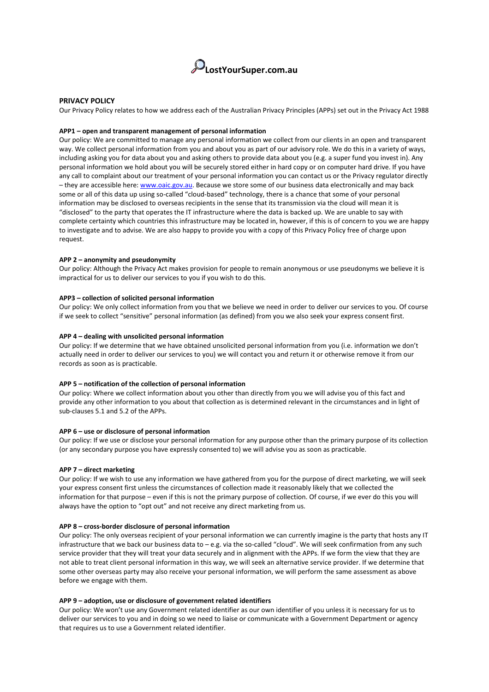

# **PRIVACY POLICY**

Our Privacy Policy relates to how we address each of the Australian Privacy Principles (APPs) set out in the Privacy Act 1988

#### **APP1 – open and transparent management of personal information**

Our policy: We are committed to manage any personal information we collect from our clients in an open and transparent way. We collect personal information from you and about you as part of our advisory role. We do this in a variety of ways, including asking you for data about you and asking others to provide data about you (e.g. a super fund you invest in). Any personal information we hold about you will be securely stored either in hard copy or on computer hard drive. If you have any call to complaint about our treatment of your personal information you can contact us or the Privacy regulator directly – they are accessible here: [www.oaic.gov.au.](http://www.oaic.gov.au/) Because we store some of our business data electronically and may back some or all of this data up using so-called "cloud-based" technology, there is a chance that some of your personal information may be disclosed to overseas recipients in the sense that its transmission via the cloud will mean it is "disclosed" to the party that operates the IT infrastructure where the data is backed up. We are unable to say with complete certainty which countries this infrastructure may be located in, however, if this is of concern to you we are happy to investigate and to advise. We are also happy to provide you with a copy of this Privacy Policy free of charge upon request.

### **APP 2 – anonymity and pseudonymity**

Our policy: Although the Privacy Act makes provision for people to remain anonymous or use pseudonyms we believe it is impractical for us to deliver our services to you if you wish to do this.

# **APP3 – collection of solicited personal information**

Our policy: We only collect information from you that we believe we need in order to deliver our services to you. Of course if we seek to collect "sensitive" personal information (as defined) from you we also seek your express consent first.

### **APP 4 – dealing with unsolicited personal information**

Our policy: If we determine that we have obtained unsolicited personal information from you (i.e. information we don't actually need in order to deliver our services to you) we will contact you and return it or otherwise remove it from our records as soon as is practicable.

### **APP 5 – notification of the collection of personal information**

Our policy: Where we collect information about you other than directly from you we will advise you of this fact and provide any other information to you about that collection as is determined relevant in the circumstances and in light of sub-clauses 5.1 and 5.2 of the APPs.

### **APP 6 – use or disclosure of personal information**

Our policy: If we use or disclose your personal information for any purpose other than the primary purpose of its collection (or any secondary purpose you have expressly consented to) we will advise you as soon as practicable.

#### **APP 7 – direct marketing**

Our policy: If we wish to use any information we have gathered from you for the purpose of direct marketing, we will seek your express consent first unless the circumstances of collection made it reasonably likely that we collected the information for that purpose – even if this is not the primary purpose of collection. Of course, if we ever do this you will always have the option to "opt out" and not receive any direct marketing from us.

### **APP 8 – cross-border disclosure of personal information**

Our policy: The only overseas recipient of your personal information we can currently imagine is the party that hosts any IT infrastructure that we back our business data to – e.g. via the so-called "cloud". We will seek confirmation from any such service provider that they will treat your data securely and in alignment with the APPs. If we form the view that they are not able to treat client personal information in this way, we will seek an alternative service provider. If we determine that some other overseas party may also receive your personal information, we will perform the same assessment as above before we engage with them.

#### **APP 9 – adoption, use or disclosure of government related identifiers**

Our policy: We won't use any Government related identifier as our own identifier of you unless it is necessary for us to deliver our services to you and in doing so we need to liaise or communicate with a Government Department or agency that requires us to use a Government related identifier.